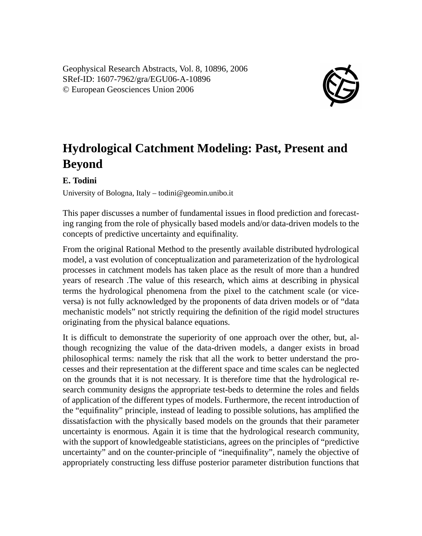Geophysical Research Abstracts, Vol. 8, 10896, 2006 SRef-ID: 1607-7962/gra/EGU06-A-10896 © European Geosciences Union 2006



## **Hydrological Catchment Modeling: Past, Present and Beyond**

## **E. Todini**

University of Bologna, Italy – todini@geomin.unibo.it

This paper discusses a number of fundamental issues in flood prediction and forecasting ranging from the role of physically based models and/or data-driven models to the concepts of predictive uncertainty and equifinality.

From the original Rational Method to the presently available distributed hydrological model, a vast evolution of conceptualization and parameterization of the hydrological processes in catchment models has taken place as the result of more than a hundred years of research .The value of this research, which aims at describing in physical terms the hydrological phenomena from the pixel to the catchment scale (or viceversa) is not fully acknowledged by the proponents of data driven models or of "data mechanistic models" not strictly requiring the definition of the rigid model structures originating from the physical balance equations.

It is difficult to demonstrate the superiority of one approach over the other, but, although recognizing the value of the data-driven models, a danger exists in broad philosophical terms: namely the risk that all the work to better understand the processes and their representation at the different space and time scales can be neglected on the grounds that it is not necessary. It is therefore time that the hydrological research community designs the appropriate test-beds to determine the roles and fields of application of the different types of models. Furthermore, the recent introduction of the "equifinality" principle, instead of leading to possible solutions, has amplified the dissatisfaction with the physically based models on the grounds that their parameter uncertainty is enormous. Again it is time that the hydrological research community, with the support of knowledgeable statisticians, agrees on the principles of "predictive uncertainty" and on the counter-principle of "inequifinality", namely the objective of appropriately constructing less diffuse posterior parameter distribution functions that